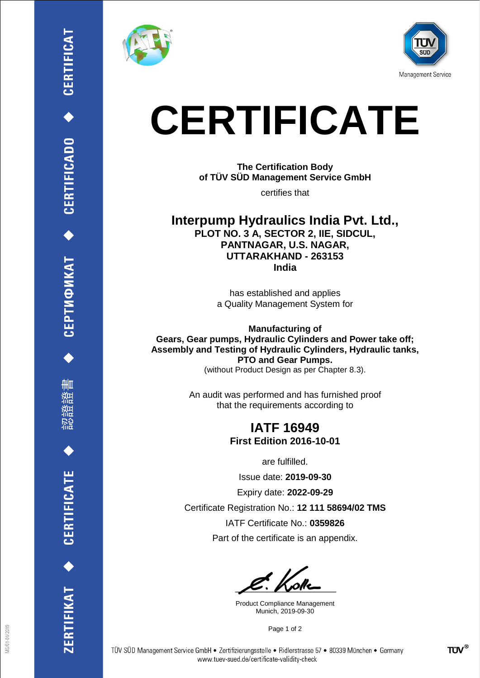

删

**CERTIFICATE** 

RTIFIKAT <





# **CERTIFICATE**

**The Certification Body of TÜV SÜD Management Service GmbH**

certifies that

**Interpump Hydraulics India Pvt. Ltd., PLOT NO. 3 A, SECTOR 2, IIE, SIDCUL, PANTNAGAR, U.S. NAGAR, UTTARAKHAND - 263153 India**

> has established and applies a Quality Management System for

**Manufacturing of Gears, Gear pumps, Hydraulic Cylinders and Power take off; Assembly and Testing of Hydraulic Cylinders, Hydraulic tanks, PTO and Gear Pumps.** (without Product Design as per Chapter 8.3).

> An audit was performed and has furnished proof that the requirements according to

## **IATF 16949 First Edition 2016-10-01**

are fulfilled.

Issue date: **2019-09-30**

Expiry date: **2022-09-29**

Certificate Registration No.: **12 111 58694/02 TMS** IATF Certificate No.: **0359826**

Part of the certificate is an appendix.

Product Compliance Management Munich, 2019-09-30

Page 1 of 2